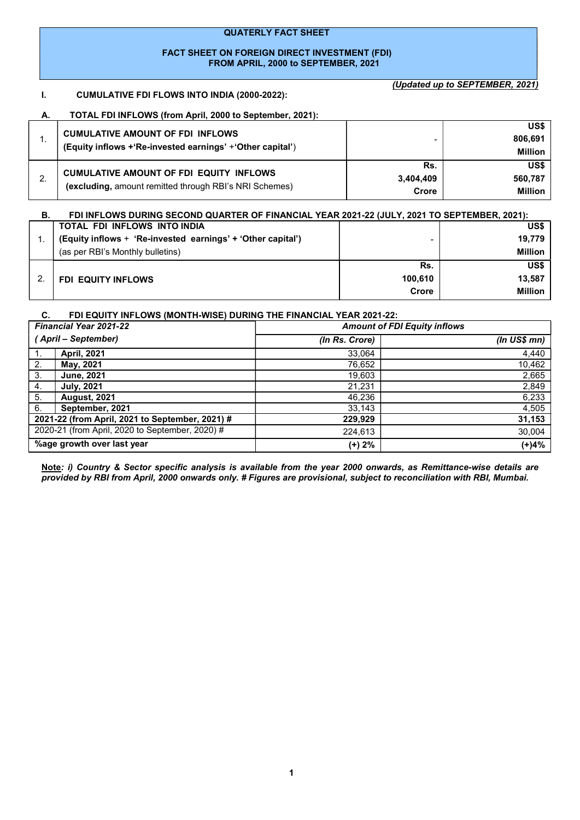#### QUATERLY FACT SHEET

## FACT SHEET ON FOREIGN DIRECT INVESTMENT (FDI) FROM APRIL, 2000 to SEPTEMBER, 2021

# I. CUMULATIVE FDI FLOWS INTO INDIA (2000-2022):

(Updated up to SEPTEMBER, 2021)

## A. TOTAL FDI INFLOWS (from April, 2000 to September, 2021):

|    | <b>CUMULATIVE AMOUNT OF FDI INFLOWS</b><br>(Equity inflows +'Re-invested earnings' +'Other capital')     |                           | US\$<br>806.691<br><b>Million</b> |
|----|----------------------------------------------------------------------------------------------------------|---------------------------|-----------------------------------|
| L. | <b>CUMULATIVE AMOUNT OF FDI EQUITY INFLOWS</b><br>(excluding, amount remitted through RBI's NRI Schemes) | Rs.<br>3,404,409<br>Crore | US\$<br>560.787<br><b>Million</b> |

| В. | FDI INFLOWS DURING SECOND QUARTER OF FINANCIAL YEAR 2021-22 (JULY, 2021 TO SEPTEMBER, 2021): |         |                |
|----|----------------------------------------------------------------------------------------------|---------|----------------|
|    | TOTAL FDI INFLOWS INTO INDIA                                                                 |         | US\$           |
|    | (Equity inflows + 'Re-invested earnings' + 'Other capital')                                  |         | 19.779         |
|    | (as per RBI's Monthly bulletins)                                                             |         | <b>Million</b> |
|    |                                                                                              | Rs.     | US\$           |
|    | <b>FDI EQUITY INFLOWS</b>                                                                    | 100.610 | 13,587         |
|    |                                                                                              | Crore   | <b>Million</b> |

#### C. FDI EQUITY INFLOWS (MONTH-WISE) DURING THE FINANCIAL YEAR 2021-22:

| <b>Financial Year 2021-22</b> |                                                 | <b>Amount of FDI Equity inflows</b> |                  |  |
|-------------------------------|-------------------------------------------------|-------------------------------------|------------------|--|
| (April – September)           |                                                 | (In Rs. Crore)                      | $(ln$ US\$ $mn)$ |  |
| 1.                            | April, 2021                                     | 33,064                              | 4,440            |  |
| 2.                            | May, 2021                                       | 76,652                              | 10,462           |  |
| 3.                            | <b>June, 2021</b>                               | 19,603                              | 2,665            |  |
| 4.                            | <b>July, 2021</b>                               | 21.231                              | 2,849            |  |
| 5.                            | <b>August, 2021</b>                             | 46,236                              | 6,233            |  |
| 6.                            | September, 2021                                 | 33,143                              | 4,505            |  |
|                               | 2021-22 (from April, 2021 to September, 2021) # | 229,929                             | 31,153           |  |
|                               | 2020-21 (from April, 2020 to September, 2020) # | 224,613                             | 30,004           |  |
| %age growth over last year    |                                                 | (+) 2%                              | $(+)4%$          |  |

Note: i) Country & Sector specific analysis is available from the year 2000 onwards, as Remittance-wise details are provided by RBI from April, 2000 onwards only. # Figures are provisional, subject to reconciliation with RBI, Mumbai.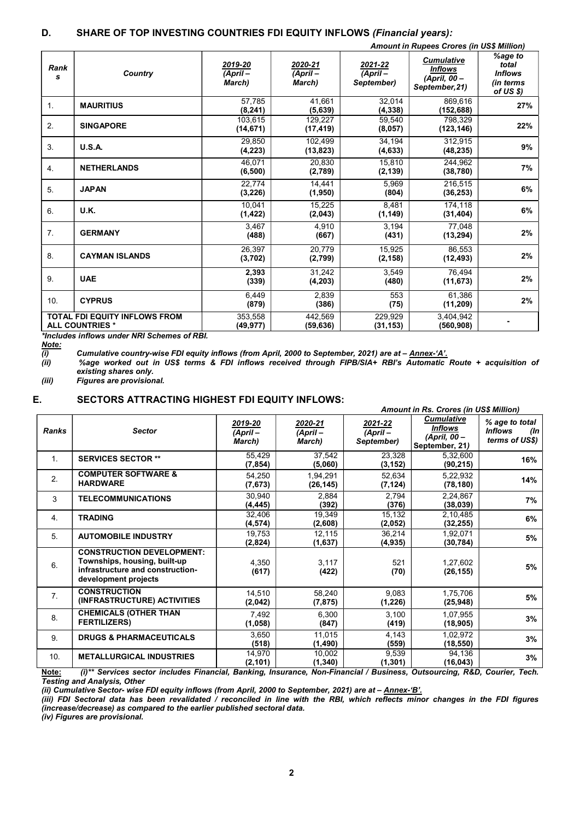| <b>Amount in Rupees Crores (in US\$ Million)</b> |                                                                |                                 |                                  |                                     |                                                                       |                                                              |  |
|--------------------------------------------------|----------------------------------------------------------------|---------------------------------|----------------------------------|-------------------------------------|-----------------------------------------------------------------------|--------------------------------------------------------------|--|
| Rank<br>s                                        | Country                                                        | 2019-20<br>$(April -$<br>March) | 2020-21<br>$(Apiril -$<br>March) | 2021-22<br>$(April -$<br>September) | <b>Cumulative</b><br><b>Inflows</b><br>(April, 00 -<br>September, 21) | %age to<br>total<br><b>Inflows</b><br>(in terms<br>of US \$) |  |
| 1.                                               | <b>MAURITIUS</b>                                               | 57,785<br>(8, 241)              | 41.661<br>(5,639)                | 32,014<br>(4, 338)                  | 869,616<br>(152, 688)                                                 | 27%                                                          |  |
| 2.                                               | <b>SINGAPORE</b>                                               | 103.615<br>(14, 671)            | 129.227<br>(17, 419)             | 59.540<br>(8,057)                   | 798.329<br>(123, 146)                                                 | 22%                                                          |  |
| 3.                                               | U.S.A.                                                         | 29.850<br>(4,223)               | 102.499<br>(13, 823)             | 34.194<br>(4, 633)                  | 312.915<br>(48, 235)                                                  | 9%                                                           |  |
| 4.                                               | <b>NETHERLANDS</b>                                             | 46.071<br>(6, 500)              | 20.830<br>(2,789)                | 15.810<br>(2, 139)                  | 244.962<br>(38, 780)                                                  | 7%                                                           |  |
| 5.                                               | <b>JAPAN</b>                                                   | 22.774<br>(3, 226)              | 14.441<br>(1,950)                | 5.969<br>(804)                      | 216.515<br>(36, 253)                                                  | 6%                                                           |  |
| 6.                                               | U.K.                                                           | 10.041<br>(1, 422)              | 15.225<br>(2,043)                | 8.481<br>(1, 149)                   | 174,118<br>(31, 404)                                                  | 6%                                                           |  |
| 7.                                               | <b>GERMANY</b>                                                 | 3.467<br>(488)                  | 4.910<br>(667)                   | 3,194<br>(431)                      | 77.048<br>(13, 294)                                                   | 2%                                                           |  |
| 8.                                               | <b>CAYMAN ISLANDS</b>                                          | 26,397<br>(3,702)               | 20.779<br>(2,799)                | 15,925<br>(2, 158)                  | 86.553<br>(12, 493)                                                   | 2%                                                           |  |
| 9.                                               | <b>UAE</b>                                                     | 2,393<br>(339)                  | 31.242<br>(4, 203)               | 3.549<br>(480)                      | 76.494<br>(11, 673)                                                   | 2%                                                           |  |
| 10.                                              | <b>CYPRUS</b>                                                  | 6.449<br>(879)                  | 2.839<br>(386)                   | 553<br>(75)                         | 61.386<br>(11, 209)                                                   | 2%                                                           |  |
|                                                  | <b>TOTAL FDI EQUITY INFLOWS FROM</b><br><b>ALL COUNTRIES *</b> | 353,558<br>(49, 977)            | 442,569<br>(59, 636)             | 229,929<br>(31, 153)                | 3,404,942<br>(560.908)                                                |                                                              |  |
|                                                  | *Includes inflows under NRI Schemes of RBI.                    |                                 |                                  |                                     |                                                                       |                                                              |  |

(i) Cumulative country-wise FDI equity inflows (from April, 2000 to September, 2021) are at – Annex-'A'.

<u>Note:</u><br>(i)<br>(ii) (ii) %age worked out in US\$ terms & FDI inflows received through FIPB/SIA+ RBI's Automatic Route + acquisition of existing shares only.<br>(iii) Figures are provision

Figures are provisional.

## E. SECTORS ATTRACTING HIGHEST FDI EQUITY INFLOWS:

|              |                                                                                                                              | <b>Amount in Rs. Crores (in US\$ Million)</b> |                              |                                   |                                                                       |                                                           |
|--------------|------------------------------------------------------------------------------------------------------------------------------|-----------------------------------------------|------------------------------|-----------------------------------|-----------------------------------------------------------------------|-----------------------------------------------------------|
| <b>Ranks</b> | <b>Sector</b>                                                                                                                | 2019-20<br>(April –<br>March)                 | 2020-21<br>(April-<br>March) | 2021-22<br>(April –<br>September) | <b>Cumulative</b><br><b>Inflows</b><br>(April, 00 -<br>September, 21) | % age to total<br><b>Inflows</b><br>(In<br>terms of US\$) |
| 1.           | <b>SERVICES SECTOR **</b>                                                                                                    | 55,429<br>(7, 854)                            | 37,542<br>(5,060)            | 23,328<br>(3, 152)                | 5,32,600<br>(90, 215)                                                 | 16%                                                       |
| 2.           | <b>COMPUTER SOFTWARE &amp;</b><br><b>HARDWARE</b>                                                                            | 54,250<br>(7,673)                             | 1,94,291<br>(26, 145)        | 52,634<br>(7, 124)                | 5,22,932<br>(78, 180)                                                 | 14%                                                       |
| 3            | <b>TELECOMMUNICATIONS</b>                                                                                                    | 30,940<br>(4, 445)                            | 2,884<br>(392)               | 2,794<br>(376)                    | 2,24,867<br>(38,039)                                                  | 7%                                                        |
| 4.           | <b>TRADING</b>                                                                                                               | 32,406<br>(4, 574)                            | 19,349<br>(2,608)            | 15,132<br>(2,052)                 | 2,10,485<br>(32, 255)                                                 | 6%                                                        |
| 5.           | <b>AUTOMOBILE INDUSTRY</b>                                                                                                   | 19,753<br>(2,824)                             | 12,115<br>(1,637)            | 36,214<br>(4, 935)                | 1,92,071<br>(30, 784)                                                 | 5%                                                        |
| 6.           | <b>CONSTRUCTION DEVELOPMENT:</b><br>Townships, housing, built-up<br>infrastructure and construction-<br>development projects | 4,350<br>(617)                                | 3,117<br>(422)               | 521<br>(70)                       | 1,27,602<br>(26, 155)                                                 | 5%                                                        |
| 7.           | <b>CONSTRUCTION</b><br>(INFRASTRUCTURE) ACTIVITIES                                                                           | 14,510<br>(2,042)                             | 58,240<br>(7, 875)           | 9,083<br>(1, 226)                 | 1,75,706<br>(25, 948)                                                 | 5%                                                        |
| 8.           | <b>CHEMICALS (OTHER THAN</b><br><b>FERTILIZERS)</b>                                                                          | 7,492<br>(1,058)                              | 6,300<br>(847)               | 3,100<br>(419)                    | 1,07,955<br>(18, 905)                                                 | 3%                                                        |
| 9.           | <b>DRUGS &amp; PHARMACEUTICALS</b>                                                                                           | 3,650<br>(518)                                | 11,015<br>(1, 490)           | 4,143<br>(559)                    | 1,02,972<br>(18, 550)                                                 | 3%                                                        |
| 10.          | <b>METALLURGICAL INDUSTRIES</b>                                                                                              | 14,970<br>(2, 101)                            | 10,002<br>(1, 340)           | 9,539<br>(1, 301)                 | 94,136<br>(16, 043)                                                   | 3%                                                        |

Note: (i)\*\* Services sector includes Financial, Banking, Insurance, Non-Financial / Business, Outsourcing, R&D, Courier, Tech. Testing and Analysis, Other

(ii) Cumulative Sector- wise FDI equity inflows (from April, 2000 to September, 2021) are at – Annex-'B'.

(iii) FDI Sectoral data has been revalidated / reconciled in line with the RBI, which reflects minor changes in the FDI figures (increase/decrease) as compared to the earlier published sectoral data.

(iv) Figures are provisional.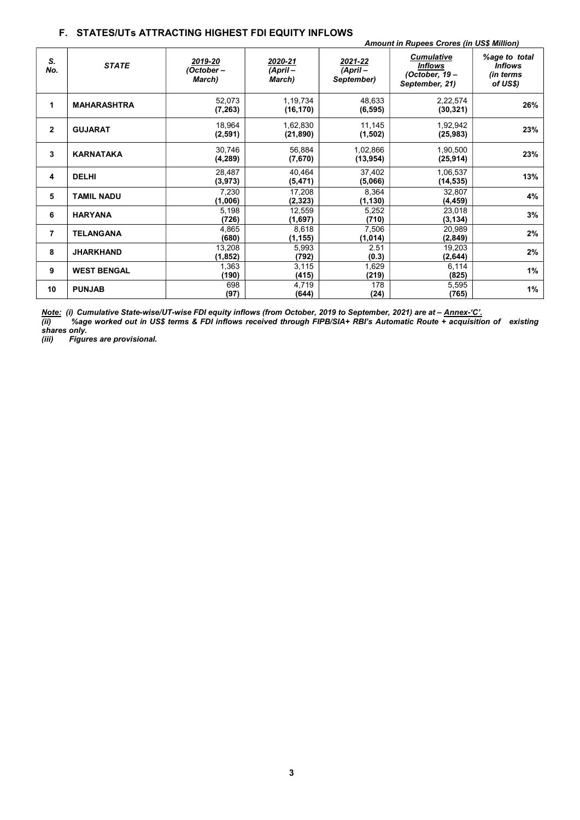## F. STATES/UTs ATTRACTING HIGHEST FDI EQUITY INFLOWS

|                | <b>Amount in Rupees Crores (in US\$ Million)</b> |                                 |                               |                                     |                                                                        |                                                          |
|----------------|--------------------------------------------------|---------------------------------|-------------------------------|-------------------------------------|------------------------------------------------------------------------|----------------------------------------------------------|
| S.<br>No.      | <b>STATE</b>                                     | 2019-20<br>(October –<br>March) | 2020-21<br>(April –<br>March) | 2021-22<br>$(ApriI -$<br>September) | <b>Cumulative</b><br><b>Inflows</b><br>(October, 19-<br>September, 21) | %age to total<br><b>Inflows</b><br>(in terms<br>of US\$) |
| 1              | <b>MAHARASHTRA</b>                               | 52,073<br>(7, 263)              | 1,19,734<br>(16, 170)         | 48,633<br>(6, 595)                  | 2,22,574<br>(30, 321)                                                  | 26%                                                      |
| $\mathbf{2}$   | <b>GUJARAT</b>                                   | 18,964<br>(2, 591)              | 1,62,830<br>(21, 890)         | 11,145<br>(1,502)                   | 1,92,942<br>(25, 983)                                                  | 23%                                                      |
| 3              | <b>KARNATAKA</b>                                 | 30,746<br>(4, 289)              | 56,884<br>(7,670)             | 1,02,866<br>(13, 954)               | 1,90,500<br>(25, 914)                                                  | 23%                                                      |
| 4              | <b>DELHI</b>                                     | 28,487<br>(3, 973)              | 40,464<br>(5, 471)            | 37,402<br>(5,066)                   | 1,06,537<br>(14, 535)                                                  | 13%                                                      |
| 5              | <b>TAMIL NADU</b>                                | 7,230<br>(1,006)                | 17,208<br>(2, 323)            | 8,364<br>(1, 130)                   | 32,807<br>(4, 459)                                                     | 4%                                                       |
| 6              | <b>HARYANA</b>                                   | 5,198<br>(726)                  | 12,559<br>(1,697)             | 5,252<br>(710)                      | 23,018<br>(3, 134)                                                     | 3%                                                       |
| $\overline{7}$ | <b>TELANGANA</b>                                 | 4,865<br>(680)                  | 8,618<br>(1, 155)             | 7,506<br>(1, 014)                   | 20,989<br>(2, 849)                                                     | 2%                                                       |
| 8              | <b>JHARKHAND</b>                                 | 13,208<br>(1, 852)              | 5,993<br>(792)                | 2.51<br>(0.3)                       | 19,203<br>(2,644)                                                      | 2%                                                       |
| 9              | <b>WEST BENGAL</b>                               | 1,363<br>(190)                  | 3,115<br>(415)                | 1,629<br>(219)                      | 6,114<br>(825)                                                         | 1%                                                       |
| 10             | <b>PUNJAB</b>                                    | 698<br>(97)                     | 4,719<br>(644)                | 178<br>(24)                         | 5,595<br>(765)                                                         | 1%                                                       |

Note: (i) Cumulative State-wise/UT-wise FDI equity inflows (from October, 2019 to September, 2021) are at – Annex-'C'.

(ii) %age worked out in US\$ terms & FDI inflows received through FIPB/SIA+ RBI's Automatic Route + acquisition of existing shares only.

(iii) Figures are provisional.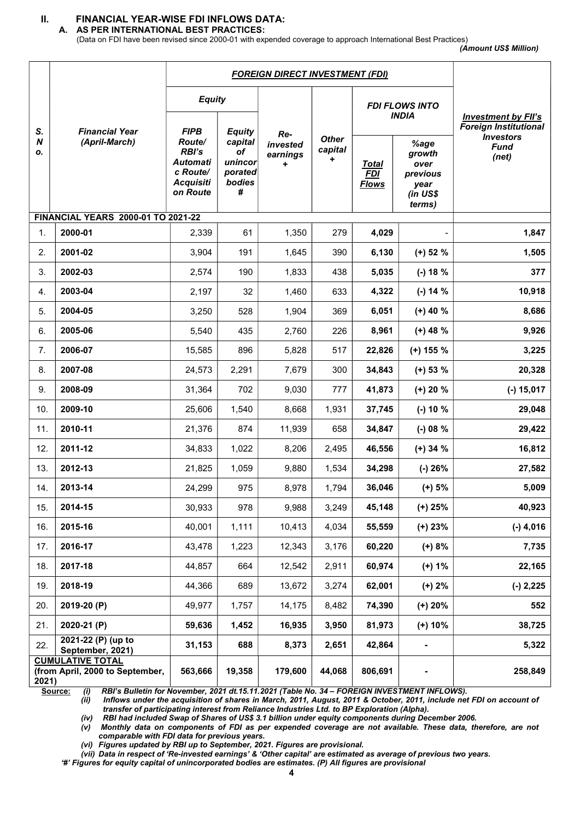# II. FINANCIAL YEAR-WISE FDI INFLOWS DATA:

A. AS PER INTERNATIONAL BEST PRACTICES:

(Data on FDI have been revised since 2000-01 with expended coverage to approach International Best Practices)

| (Amount US\$ Million) |  |  |
|-----------------------|--|--|
|-----------------------|--|--|

| <b>FOREIGN DIRECT INVESTMENT (FDI)</b> |                                                            |                                                                         |                                                    |                             |                              |                                            |                                                                  |                                                            |
|----------------------------------------|------------------------------------------------------------|-------------------------------------------------------------------------|----------------------------------------------------|-----------------------------|------------------------------|--------------------------------------------|------------------------------------------------------------------|------------------------------------------------------------|
| S.                                     | <b>Financial Year</b>                                      | <b>Equity</b><br><b>FIPB</b>                                            | <b>Equity</b>                                      |                             |                              |                                            | <b>FDI FLOWS INTO</b><br><b>INDIA</b>                            | <b>Investment by FII's</b><br><b>Foreign Institutional</b> |
| N<br>Ο.                                | (April-March)                                              | Route/<br>RBI's<br>Automati<br>c Route/<br><b>Acquisiti</b><br>on Route | capital<br>of<br>unincor<br>porated<br>bodies<br># | Re-<br>invested<br>earnings | <b>Other</b><br>capital<br>٠ | <u>Total</u><br><b>FDI</b><br><b>Flows</b> | %age<br>growth<br>over<br>previous<br>year<br>(in US\$<br>terms) | <b>Investors</b><br><b>Fund</b><br>(net)                   |
|                                        | <b>FINANCIAL YEARS 2000-01 TO 2021-22</b>                  |                                                                         |                                                    |                             |                              |                                            |                                                                  |                                                            |
| 1.                                     | 2000-01                                                    | 2,339                                                                   | 61                                                 | 1,350                       | 279                          | 4,029                                      |                                                                  | 1,847                                                      |
| 2.                                     | 2001-02                                                    | 3,904                                                                   | 191                                                | 1,645                       | 390                          | 6,130                                      | $(+)$ 52 %                                                       | 1,505                                                      |
| 3.                                     | 2002-03                                                    | 2,574                                                                   | 190                                                | 1,833                       | 438                          | 5,035                                      | $(-) 18 %$                                                       | 377                                                        |
| 4.                                     | 2003-04                                                    | 2,197                                                                   | 32                                                 | 1,460                       | 633                          | 4,322                                      | $(-) 14 %$                                                       | 10,918                                                     |
| 5.                                     | 2004-05                                                    | 3,250                                                                   | 528                                                | 1,904                       | 369                          | 6,051                                      | $(+)$ 40 %                                                       | 8,686                                                      |
| 6.                                     | 2005-06                                                    | 5,540                                                                   | 435                                                | 2,760                       | 226                          | 8,961                                      | $(+)$ 48 %                                                       | 9,926                                                      |
| 7.                                     | 2006-07                                                    | 15,585                                                                  | 896                                                | 5,828                       | 517                          | 22,826                                     | $(+)$ 155 %                                                      | 3,225                                                      |
| 8.                                     | 2007-08                                                    | 24,573                                                                  | 2,291                                              | 7,679                       | 300                          | 34,843                                     | $(+)$ 53 %                                                       | 20,328                                                     |
| 9.                                     | 2008-09                                                    | 31,364                                                                  | 702                                                | 9,030                       | 777                          | 41,873                                     | $(+) 20 %$                                                       | $(-) 15,017$                                               |
| 10.                                    | 2009-10                                                    | 25,606                                                                  | 1,540                                              | 8,668                       | 1,931                        | 37,745                                     | $(-) 10 %$                                                       | 29,048                                                     |
| 11.                                    | 2010-11                                                    | 21,376                                                                  | 874                                                | 11,939                      | 658                          | 34,847                                     | $(-)$ 08 %                                                       | 29,422                                                     |
| 12.                                    | 2011-12                                                    | 34,833                                                                  | 1,022                                              | 8,206                       | 2,495                        | 46,556                                     | $(+)$ 34 %                                                       | 16,812                                                     |
| 13.                                    | 2012-13                                                    | 21,825                                                                  | 1,059                                              | 9,880                       | 1,534                        | 34,298                                     | $(-)$ 26%                                                        | 27,582                                                     |
| 14.                                    | 2013-14                                                    | 24,299                                                                  | 975                                                | 8,978                       | 1,794                        | 36,046                                     | $(+) 5%$                                                         | 5,009                                                      |
| 15.                                    | 2014-15                                                    | 30,933                                                                  | 978                                                | 9,988                       | 3,249                        | 45,148                                     | $(+) 25%$                                                        | 40,923                                                     |
| 16.                                    | 2015-16                                                    | 40,001                                                                  | 1,111                                              | 10,413                      | 4,034                        | 55,559                                     | $(+)$ 23%                                                        | $(-)$ 4,016                                                |
| 17.                                    | 2016-17                                                    | 43,478                                                                  | 1,223                                              | 12,343                      | 3,176                        | 60,220                                     | $(+) 8%$                                                         | 7,735                                                      |
| 18.                                    | 2017-18                                                    | 44,857                                                                  | 664                                                | 12,542                      | 2,911                        | 60,974                                     | $(+) 1%$                                                         | 22,165                                                     |
| 19.                                    | 2018-19                                                    | 44,366                                                                  | 689                                                | 13,672                      | 3,274                        | 62,001                                     | $(+) 2%$                                                         | $(-) 2,225$                                                |
| 20.                                    | 2019-20 (P)                                                | 49,977                                                                  | 1,757                                              | 14,175                      | 8,482                        | 74,390                                     | $(+) 20%$                                                        | 552                                                        |
| 21.                                    | 2020-21 (P)                                                | 59,636                                                                  | 1,452                                              | 16,935                      | 3,950                        | 81,973                                     | $(+) 10%$                                                        | 38,725                                                     |
| 22.                                    | 2021-22 (P) (up to<br>September, 2021)                     | 31,153                                                                  | 688                                                | 8,373                       | 2,651                        | 42,864                                     | $\frac{1}{2}$                                                    | 5,322                                                      |
| 2021)                                  | <b>CUMULATIVE TOTAL</b><br>(from April, 2000 to September, | 563,666                                                                 | 19,358                                             | 179,600                     | 44,068                       | 806,691                                    |                                                                  | 258,849                                                    |

Source: (i) RBI's Bulletin for November, 2021 dt.15.11.2021 (Table No. 34 – FOREIGN INVESTMENT INFLOWS).<br>(ii) Inflows under the acquisition of shares in March, 2011, August, 2011 & October, 2011, include net Inflows under the acquisition of shares in March, 2011, August, 2011 & October, 2011, include net FDI on account of transfer of participating interest from Reliance Industries Ltd. to BP Exploration (Alpha).

(iv) RBI had included Swap of Shares of US\$ 3.1 billion under equity components during December 2006.

(v) Monthly data on components of FDI as per expended coverage are not available. These data, therefore, are not comparable with FDI data for previous years.

(vi) Figures updated by RBI up to September, 2021. Figures are provisional.

(vii) Data in respect of 'Re-invested earnings' & 'Other capital' are estimated as average of previous two years.

'#' Figures for equity capital of unincorporated bodies are estimates. (P) All figures are provisional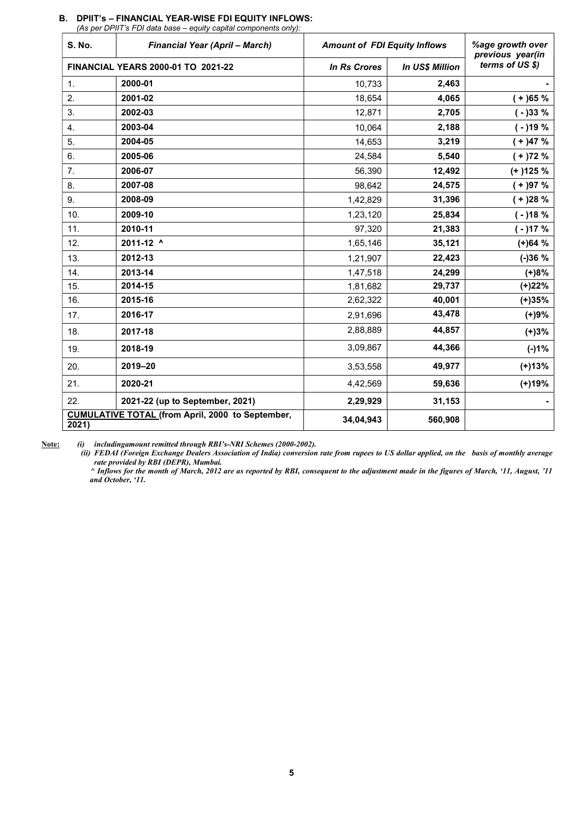| <b>S. No.</b>      | <b>Financial Year (April - March)</b>                   | <b>Amount of FDI Equity Inflows</b> |                        | %age growth over<br>previous year(in |
|--------------------|---------------------------------------------------------|-------------------------------------|------------------------|--------------------------------------|
|                    | <b>FINANCIAL YEARS 2000-01 TO 2021-22</b>               | <b>In Rs Crores</b>                 | <b>In US\$ Million</b> | terms of US \$)                      |
| $\mathbf{1}$ .     | 2000-01                                                 | 10,733                              | 2,463                  |                                      |
| 2.                 | 2001-02                                                 | 18,654                              | 4,065                  | $(+)65%$                             |
| 3.                 | 2002-03                                                 | 12,871                              | 2,705                  | $(-)33%$                             |
| $\boldsymbol{4}$ . | 2003-04                                                 | 10,064                              | 2,188                  | $(-)19%$                             |
| 5.                 | 2004-05                                                 | 14,653                              | 3,219                  | $+$ )47 %                            |
| 6.                 | 2005-06                                                 | 24,584                              | 5,540                  | $(+)72%$                             |
| 7.                 | 2006-07                                                 | 56,390                              | 12,492                 | $(+)125%$                            |
| 8.                 | 2007-08                                                 | 98,642                              | 24,575                 | $(+)97%$                             |
| 9.                 | 2008-09                                                 | 1,42,829                            | 31,396                 | $(+)28%$                             |
| 10.                | 2009-10                                                 | 1,23,120                            | 25,834                 | $(-)18%$                             |
| 11.                | 2010-11                                                 | 97,320                              | 21,383                 | $(-)17%$                             |
| 12.                | 2011-12 ^                                               | 1,65,146                            | 35,121                 | $(+)64%$                             |
| 13.                | 2012-13                                                 | 1,21,907                            | 22,423                 | $(-)36%$                             |
| 14.                | 2013-14                                                 | 1,47,518                            | 24,299                 | $(+)8%$                              |
| 15.                | 2014-15                                                 | 1,81,682                            | 29,737                 | $(+)22%$                             |
| 16.                | 2015-16                                                 | 2,62,322                            | 40,001                 | $(+)35%$                             |
| 17.                | 2016-17                                                 | 2,91,696                            | 43,478                 | (+)9%                                |
| 18.                | 2017-18                                                 | 2,88,889                            | 44,857                 | $(+)3%$                              |
| 19.                | 2018-19                                                 | 3,09,867                            | 44,366                 | $(-)1%$                              |
| 20.                | 2019-20                                                 | 3,53,558                            | 49,977                 | $(+)13%$                             |
| 21.                | 2020-21                                                 | 4,42,569                            | 59,636                 | $(+)19%$                             |
| 22.                | 2021-22 (up to September, 2021)                         | 2,29,929                            | 31,153                 |                                      |
| 2021)              | <b>CUMULATIVE TOTAL (from April, 2000 to September,</b> | 34,04,943                           | 560,908                |                                      |

## B. DPIIT's – FINANCIAL YEAR-WISE FDI EQUITY INFLOWS:

(As per DPIIT's FDI data base – equity capital components only):

Note: (i) includingamount remitted through RBI's-NRI Schemes (2000-2002).

(ii) FEDAI (Foreign Exchange Dealers Association of India) conversion rate from rupees to US dollar applied, on the basis of monthly average rate provided by RBI (DEPR), Mumbai.

 ^ Inflows for the month of March, 2012 are as reported by RBI, consequent to the adjustment made in the figures of March, '11, August, '11 and October, '11.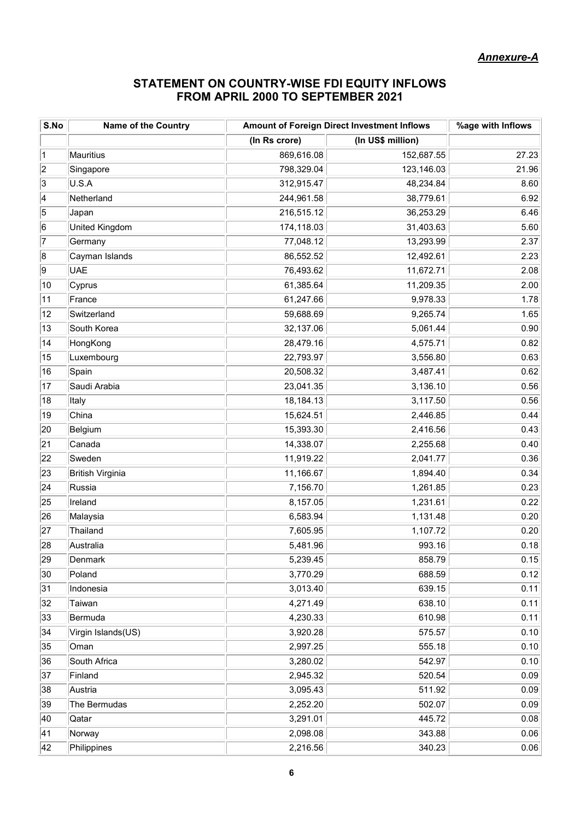# STATEMENT ON COUNTRY-WISE FDI EQUITY INFLOWS FROM APRIL 2000 TO SEPTEMBER 2021

| S.No           | <b>Name of the Country</b> | <b>Amount of Foreign Direct Investment Inflows</b> | %age with Inflows |       |
|----------------|----------------------------|----------------------------------------------------|-------------------|-------|
|                |                            | (In Rs crore)                                      | (In US\$ million) |       |
| $\vert$ 1      | Mauritius                  | 869,616.08                                         | 152,687.55        | 27.23 |
| 2              | Singapore                  | 798,329.04                                         | 123,146.03        | 21.96 |
| 3              | U.S.A                      | 312,915.47                                         | 48,234.84         | 8.60  |
| 4              | Netherland                 | 244,961.58                                         | 38,779.61         | 6.92  |
| $\overline{5}$ | Japan                      | 216,515.12                                         | 36,253.29         | 6.46  |
| 6              | United Kingdom             | 174,118.03                                         | 31,403.63         | 5.60  |
| 17             | Germany                    | 77,048.12                                          | 13,293.99         | 2.37  |
| 8              | Cayman Islands             | 86,552.52                                          | 12,492.61         | 2.23  |
| 9              | <b>UAE</b>                 | 76,493.62                                          | 11,672.71         | 2.08  |
| 10             | Cyprus                     | 61,385.64                                          | 11,209.35         | 2.00  |
| 11             | France                     | 61,247.66                                          | 9,978.33          | 1.78  |
| 12             | Switzerland                | 59,688.69                                          | 9,265.74          | 1.65  |
| 13             | South Korea                | 32,137.06                                          | 5,061.44          | 0.90  |
| 14             | HongKong                   | 28,479.16                                          | 4,575.71          | 0.82  |
| 15             | Luxembourg                 | 22,793.97                                          | 3,556.80          | 0.63  |
| 16             | Spain                      | 20,508.32                                          | 3,487.41          | 0.62  |
| 17             | Saudi Arabia               | 23,041.35                                          | 3,136.10          | 0.56  |
| 18             | Italy                      | 18,184.13                                          | 3,117.50          | 0.56  |
| 19             | China                      | 15,624.51                                          | 2,446.85          | 0.44  |
| 20             | Belgium                    | 15,393.30                                          | 2,416.56          | 0.43  |
| 21             | Canada                     | 14,338.07                                          | 2,255.68          | 0.40  |
| 22             | Sweden                     | 11,919.22                                          | 2,041.77          | 0.36  |
| 23             | British Virginia           | 11,166.67                                          | 1,894.40          | 0.34  |
| 24             | Russia                     | 7,156.70                                           | 1,261.85          | 0.23  |
| 25             | Ireland                    | 8,157.05                                           | 1,231.61          | 0.22  |
| 26             | Malaysia                   | 6,583.94                                           | 1,131.48          | 0.20  |
| 27             | Thailand                   | 7,605.95                                           | 1,107.72          | 0.20  |
| 28             | Australia                  | 5,481.96                                           | 993.16            | 0.18  |
| 29             | Denmark                    | 5,239.45                                           | 858.79            | 0.15  |
| 30             | Poland                     | 3,770.29                                           | 688.59            | 0.12  |
| 31             | Indonesia                  | 3,013.40                                           | 639.15            | 0.11  |
| 32             | Taiwan                     | 4,271.49                                           | 638.10            | 0.11  |
| 33             | Bermuda                    | 4,230.33                                           | 610.98            | 0.11  |
| 34             | Virgin Islands(US)         | 3,920.28                                           | 575.57            | 0.10  |
| 35             | Oman                       | 2,997.25                                           | 555.18            | 0.10  |
| 36             | South Africa               | 3,280.02                                           | 542.97            | 0.10  |
| 37             | Finland                    | 2,945.32                                           | 520.54            | 0.09  |
| 38             | Austria                    | 3,095.43                                           | 511.92            | 0.09  |
| 39             | The Bermudas               | 2,252.20                                           | 502.07            | 0.09  |
| 40             | Qatar                      | 3,291.01                                           | 445.72            | 0.08  |
| 41             | Norway                     | 2,098.08                                           | 343.88            | 0.06  |
| 42             | Philippines                | 2,216.56                                           | 340.23            | 0.06  |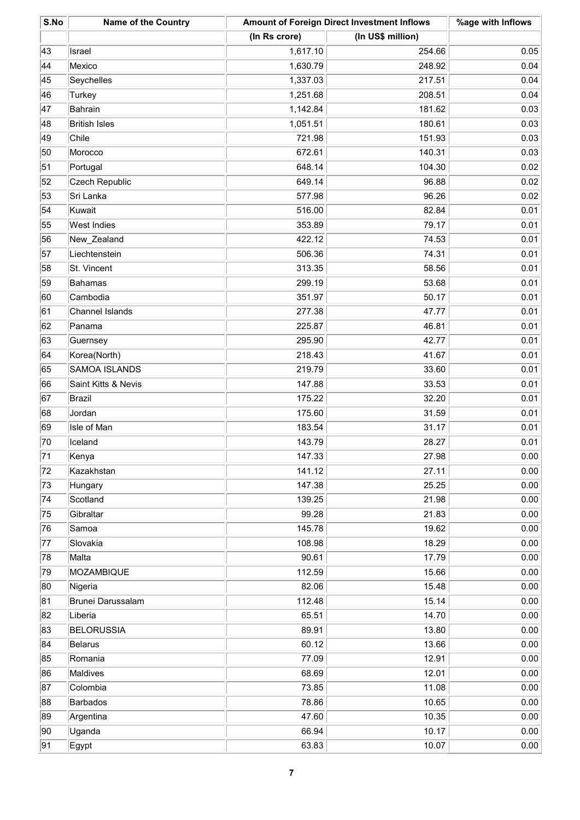| S.No | <b>Name of the Country</b> |               | Amount of Foreign Direct Investment Inflows |      |
|------|----------------------------|---------------|---------------------------------------------|------|
|      |                            | (In Rs crore) | (In US\$ million)                           |      |
| 43   | Israel                     | 1,617.10      | 254.66                                      | 0.05 |
| 44   | Mexico                     | 1,630.79      | 248.92                                      | 0.04 |
| 45   | Seychelles                 | 1,337.03      | 217.51                                      | 0.04 |
| 46   | Turkey                     | 1,251.68      | 208.51                                      | 0.04 |
| 47   | Bahrain                    | 1,142.84      | 181.62                                      | 0.03 |
| 48   | <b>British Isles</b>       | 1,051.51      | 180.61                                      | 0.03 |
| 49   | Chile                      | 721.98        | 151.93                                      | 0.03 |
| 50   | Morocco                    | 672.61        | 140.31                                      | 0.03 |
| 51   | Portugal                   | 648.14        | 104.30                                      | 0.02 |
| 52   | <b>Czech Republic</b>      | 649.14        | 96.88                                       | 0.02 |
| 53   | Sri Lanka                  | 577.98        | 96.26                                       | 0.02 |
| 54   | Kuwait                     | 516.00        | 82.84                                       | 0.01 |
| 55   | West Indies                | 353.89        | 79.17                                       | 0.01 |
| 56   | New_Zealand                | 422.12        | 74.53                                       | 0.01 |
| 57   | Liechtenstein              | 506.36        | 74.31                                       | 0.01 |
| 58   | St. Vincent                | 313.35        | 58.56                                       | 0.01 |
| 59   | Bahamas                    | 299.19        | 53.68                                       | 0.01 |
| 60   | Cambodia                   | 351.97        | 50.17                                       | 0.01 |
| 61   | Channel Islands            | 277.38        | 47.77                                       | 0.01 |
| 62   | Panama                     | 225.87        | 46.81                                       | 0.01 |
| 63   | Guernsey                   | 295.90        | 42.77                                       | 0.01 |
| 64   | Korea(North)               | 218.43        | 41.67                                       | 0.01 |
| 65   | <b>SAMOA ISLANDS</b>       | 219.79        | 33.60                                       | 0.01 |
| 66   | Saint Kitts & Nevis        | 147.88        | 33.53                                       | 0.01 |
| 67   | Brazil                     | 175.22        | 32.20                                       | 0.01 |
| 68   | Jordan                     | 175.60        | 31.59                                       | 0.01 |
| 69   | Isle of Man                | 183.54        | 31.17                                       | 0.01 |
| 70   | Iceland                    | 143.79        | 28.27                                       | 0.01 |
| 71   | Kenya                      | 147.33        | 27.98                                       | 0.00 |
| 72   | Kazakhstan                 | 141.12        | 27.11                                       | 0.00 |
| 73   | Hungary                    | 147.38        | 25.25                                       | 0.00 |
| 74   | Scotland                   | 139.25        | 21.98                                       | 0.00 |
| 75   | Gibraltar                  | 99.28         | 21.83                                       | 0.00 |
| 76   | Samoa                      | 145.78        | 19.62                                       | 0.00 |
| 77   | Slovakia                   | 108.98        | 18.29                                       | 0.00 |
| 78   | Malta                      | 90.61         | 17.79                                       | 0.00 |
| 79   | MOZAMBIQUE                 | 112.59        | 15.66                                       | 0.00 |
| 80   | Nigeria                    | 82.06         | 15.48                                       | 0.00 |
| 81   | Brunei Darussalam          | 112.48        | 15.14                                       | 0.00 |
| 82   | Liberia                    | 65.51         | 14.70                                       | 0.00 |
| 83   | <b>BELORUSSIA</b>          | 89.91         | 13.80                                       | 0.00 |
| 84   | Belarus                    | 60.12         | 13.66                                       | 0.00 |
| 85   | Romania                    | 77.09         | 12.91                                       | 0.00 |
| 86   | Maldives                   | 68.69         | 12.01                                       | 0.00 |
| 87   | Colombia                   | 73.85         | 11.08                                       | 0.00 |
| 88   | Barbados                   | 78.86         | 10.65                                       | 0.00 |
| 89   | Argentina                  | 47.60         | 10.35                                       | 0.00 |
| 90   | Uganda                     | 66.94         | 10.17                                       | 0.00 |
| 91   | Egypt                      | 63.83         | 10.07                                       | 0.00 |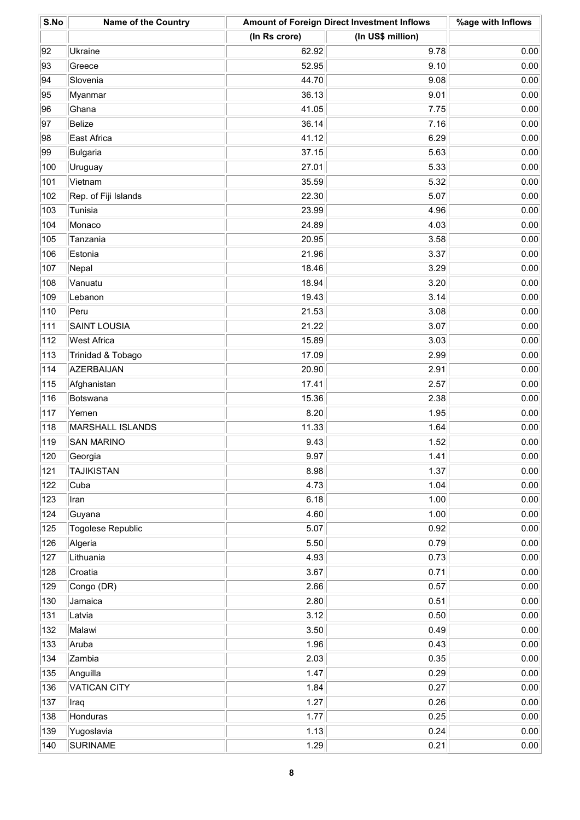| S.No | <b>Name of the Country</b> | <b>Amount of Foreign Direct Investment Inflows</b> |                   | %age with Inflows |
|------|----------------------------|----------------------------------------------------|-------------------|-------------------|
|      |                            | (In Rs crore)                                      | (In US\$ million) |                   |
| 92   | Ukraine                    | 62.92                                              | 9.78              | 0.00              |
| 93   | Greece                     | 52.95                                              | 9.10              | 0.00              |
| 94   | Slovenia                   | 44.70                                              | 9.08              | 0.00              |
| 95   | Myanmar                    | 36.13                                              | 9.01              | 0.00              |
| 96   | Ghana                      | 41.05                                              | 7.75              | 0.00              |
| 97   | Belize                     | 36.14                                              | 7.16              | 0.00              |
| 98   | East Africa                | 41.12                                              | 6.29              | 0.00              |
| 99   | Bulgaria                   | 37.15                                              | 5.63              | 0.00              |
| 100  | Uruguay                    | 27.01                                              | 5.33              | 0.00              |
| 101  | Vietnam                    | 35.59                                              | 5.32              | 0.00              |
| 102  | Rep. of Fiji Islands       | 22.30                                              | 5.07              | 0.00              |
| 103  | Tunisia                    | 23.99                                              | 4.96              | 0.00              |
| 104  | Monaco                     | 24.89                                              | 4.03              | 0.00              |
| 105  | Tanzania                   | 20.95                                              | 3.58              | 0.00              |
| 106  | Estonia                    | 21.96                                              | 3.37              | 0.00              |
| 107  | Nepal                      | 18.46                                              | 3.29              | 0.00              |
| 108  | Vanuatu                    | 18.94                                              | 3.20              | 0.00              |
| 109  | Lebanon                    | 19.43                                              | 3.14              | 0.00              |
| 110  | Peru                       | 21.53                                              | 3.08              | 0.00              |
| 111  | <b>SAINT LOUSIA</b>        | 21.22                                              | 3.07              | 0.00              |
| 112  | <b>West Africa</b>         | 15.89                                              | 3.03              | 0.00              |
| 113  | Trinidad & Tobago          | 17.09                                              | 2.99              | 0.00              |
| 114  | AZERBAIJAN                 | 20.90                                              | 2.91              | 0.00              |
| 115  | Afghanistan                | 17.41                                              | 2.57              | 0.00              |
| 116  | Botswana                   | 15.36                                              | 2.38              | 0.00              |
| 117  | Yemen                      | 8.20                                               | 1.95              | 0.00              |
| 118  | MARSHALL ISLANDS           | 11.33                                              | 1.64              | 0.00              |
| 119  | <b>SAN MARINO</b>          | 9.43                                               | 1.52              | 0.00              |
| 120  | Georgia                    | 9.97                                               | 1.41              | 0.00              |
| 121  | <b>TAJIKISTAN</b>          | 8.98                                               | 1.37              | 0.00              |
| 122  | Cuba                       | 4.73                                               | 1.04              | 0.00              |
| 123  | Iran                       | 6.18                                               | 1.00              | 0.00              |
| 124  | Guyana                     | 4.60                                               | 1.00              | 0.00              |
| 125  | Togolese Republic          | 5.07                                               | 0.92              | 0.00              |
| 126  | Algeria                    | 5.50                                               | 0.79              | 0.00              |
| 127  | Lithuania                  | 4.93                                               | 0.73              | 0.00              |
| 128  | Croatia                    | 3.67                                               | 0.71              | 0.00              |
| 129  | Congo (DR)                 | 2.66                                               | 0.57              | 0.00              |
| 130  | Jamaica                    | 2.80                                               | 0.51              | 0.00              |
| 131  | Latvia                     | 3.12                                               | 0.50              | 0.00              |
| 132  | Malawi                     | 3.50                                               | 0.49              | 0.00              |
| 133  | Aruba                      | 1.96                                               | 0.43              | 0.00              |
| 134  | Zambia                     | 2.03                                               | 0.35              | 0.00              |
| 135  | Anguilla                   | 1.47                                               | 0.29              | 0.00              |
| 136  | <b>VATICAN CITY</b>        | 1.84                                               | 0.27              | 0.00              |
| 137  | Iraq                       | 1.27                                               | 0.26              | 0.00              |
| 138  | Honduras                   | 1.77                                               | 0.25              | 0.00              |
| 139  | Yugoslavia                 | 1.13                                               | 0.24              | 0.00              |
| 140  | <b>SURINAME</b>            | 1.29                                               | 0.21              | 0.00              |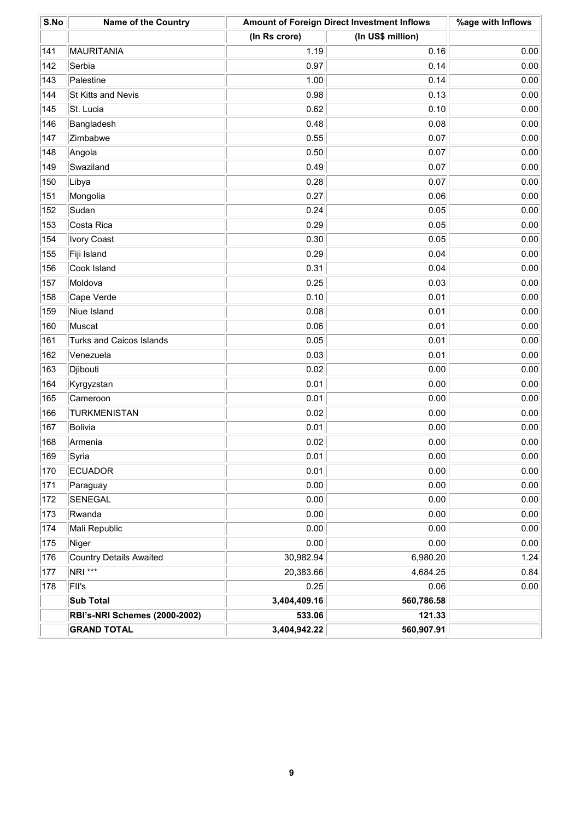| S.No | <b>Name of the Country</b>           | <b>Amount of Foreign Direct Investment Inflows</b> |                   | %age with Inflows |
|------|--------------------------------------|----------------------------------------------------|-------------------|-------------------|
|      |                                      | (In Rs crore)                                      | (In US\$ million) |                   |
| 141  | MAURITANIA                           | 1.19                                               | 0.16              | 0.00              |
| 142  | Serbia                               | 0.97                                               | 0.14              | 0.00              |
| 143  | Palestine                            | 1.00                                               | 0.14              | 0.00              |
| 144  | St Kitts and Nevis                   | 0.98                                               | 0.13              | 0.00              |
| 145  | St. Lucia                            | 0.62                                               | 0.10              | 0.00              |
| 146  | Bangladesh                           | 0.48                                               | 0.08              | 0.00              |
| 147  | Zimbabwe                             | 0.55                                               | 0.07              | 0.00              |
| 148  | Angola                               | 0.50                                               | 0.07              | 0.00              |
| 149  | Swaziland                            | 0.49                                               | 0.07              | 0.00              |
| 150  | Libya                                | 0.28                                               | 0.07              | 0.00              |
| 151  | Mongolia                             | 0.27                                               | 0.06              | 0.00              |
| 152  | Sudan                                | 0.24                                               | 0.05              | 0.00              |
| 153  | Costa Rica                           | 0.29                                               | 0.05              | 0.00              |
| 154  | <b>Ivory Coast</b>                   | 0.30                                               | 0.05              | 0.00              |
| 155  | Fiji Island                          | 0.29                                               | 0.04              | 0.00              |
| 156  | Cook Island                          | 0.31                                               | 0.04              | 0.00              |
| 157  | Moldova                              | 0.25                                               | 0.03              | 0.00              |
| 158  | Cape Verde                           | 0.10                                               | 0.01              | 0.00              |
| 159  | Niue Island                          | 0.08                                               | 0.01              | 0.00              |
| 160  | Muscat                               | 0.06                                               | 0.01              | 0.00              |
| 161  | Turks and Caicos Islands             | 0.05                                               | 0.01              | 0.00              |
| 162  | Venezuela                            | 0.03                                               | 0.01              | 0.00              |
| 163  | Djibouti                             | 0.02                                               | 0.00              | 0.00              |
| 164  | Kyrgyzstan                           | 0.01                                               | 0.00              | 0.00              |
| 165  | Cameroon                             | 0.01                                               | 0.00              | 0.00              |
| 166  | <b>TURKMENISTAN</b>                  | 0.02                                               | 0.00              | 0.00              |
| 167  | Bolivia                              | 0.01                                               | 0.00              | 0.00              |
| 168  | Armenia                              | 0.02                                               | 0.00              | 0.00              |
| 169  | Syria                                | 0.01                                               | 0.00              | 0.00              |
| 170  | <b>ECUADOR</b>                       | 0.01                                               | 0.00              | 0.00              |
| 171  | Paraguay                             | 0.00                                               | 0.00              | 0.00              |
| 172  | SENEGAL                              | 0.00                                               | 0.00              | 0.00              |
| 173  | Rwanda                               | 0.00                                               | 0.00              | 0.00              |
| 174  | Mali Republic                        | 0.00                                               | 0.00              | 0.00              |
| 175  | Niger                                | 0.00                                               | 0.00              | 0.00              |
| 176  | <b>Country Details Awaited</b>       | 30,982.94                                          | 6,980.20          | 1.24              |
| 177  | NRI ***                              | 20,383.66                                          | 4,684.25          | 0.84              |
| 178  | FII's                                | 0.25                                               | 0.06              | 0.00              |
|      | <b>Sub Total</b>                     | 3,404,409.16                                       | 560,786.58        |                   |
|      | <b>RBI's-NRI Schemes (2000-2002)</b> | 533.06                                             | 121.33            |                   |
|      | <b>GRAND TOTAL</b>                   | 3,404,942.22                                       | 560,907.91        |                   |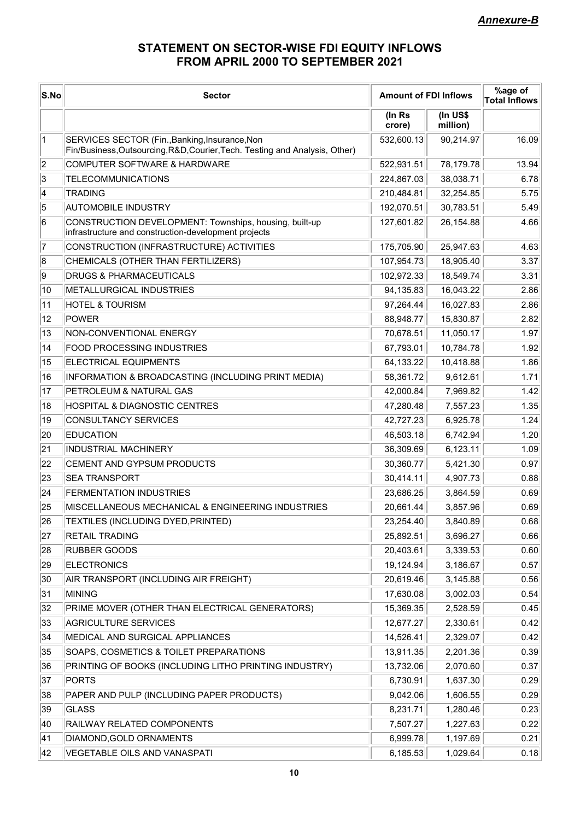# STATEMENT ON SECTOR-WISE FDI EQUITY INFLOWS FROM APRIL 2000 TO SEPTEMBER 2021

| S.No      | <b>Sector</b>                                                                                                                 | <b>Amount of FDI Inflows</b> |                        | %age of<br><b>Total Inflows</b> |
|-----------|-------------------------------------------------------------------------------------------------------------------------------|------------------------------|------------------------|---------------------------------|
|           |                                                                                                                               | (In Rs<br>crore)             | $(In US$)$<br>million) |                                 |
| $\vert$ 1 | SERVICES SECTOR (Fin., Banking, Insurance, Non<br>Fin/Business, Outsourcing, R&D, Courier, Tech. Testing and Analysis, Other) | 532,600.13                   | 90,214.97              | 16.09                           |
| 2         | COMPUTER SOFTWARE & HARDWARE                                                                                                  | 522,931.51                   | 78,179.78              | 13.94                           |
| 3         | <b>TELECOMMUNICATIONS</b>                                                                                                     | 224,867.03                   | 38,038.71              | 6.78                            |
| 4         | <b>TRADING</b>                                                                                                                | 210,484.81                   | 32,254.85              | 5.75                            |
| 5         | <b>AUTOMOBILE INDUSTRY</b>                                                                                                    | 192,070.51                   | 30,783.51              | 5.49                            |
| 6         | CONSTRUCTION DEVELOPMENT: Townships, housing, built-up<br>infrastructure and construction-development projects                | 127,601.82                   | 26,154.88              | 4.66                            |
| 7         | CONSTRUCTION (INFRASTRUCTURE) ACTIVITIES                                                                                      | 175,705.90                   | 25,947.63              | 4.63                            |
| 8         | CHEMICALS (OTHER THAN FERTILIZERS)                                                                                            | 107,954.73                   | 18,905.40              | 3.37                            |
| 9         | <b>DRUGS &amp; PHARMACEUTICALS</b>                                                                                            | 102,972.33                   | 18,549.74              | 3.31                            |
| 10        | METALLURGICAL INDUSTRIES                                                                                                      | 94,135.83                    | 16,043.22              | 2.86                            |
| 11        | <b>HOTEL &amp; TOURISM</b>                                                                                                    | 97,264.44                    | 16,027.83              | 2.86                            |
| 12        | POWER                                                                                                                         | 88,948.77                    | 15,830.87              | 2.82                            |
| 13        | NON-CONVENTIONAL ENERGY                                                                                                       | 70,678.51                    | 11,050.17              | 1.97                            |
| 14        | <b>FOOD PROCESSING INDUSTRIES</b>                                                                                             | 67,793.01                    | 10,784.78              | 1.92                            |
| 15        | <b>ELECTRICAL EQUIPMENTS</b>                                                                                                  | 64,133.22                    | 10,418.88              | 1.86                            |
| 16        | INFORMATION & BROADCASTING (INCLUDING PRINT MEDIA)                                                                            | 58,361.72                    | 9,612.61               | 1.71                            |
| 17        | PETROLEUM & NATURAL GAS                                                                                                       | 42,000.84                    | 7,969.82               | 1.42                            |
| 18        | <b>HOSPITAL &amp; DIAGNOSTIC CENTRES</b>                                                                                      | 47,280.48                    | 7,557.23               | 1.35                            |
| 19        | CONSULTANCY SERVICES                                                                                                          | 42,727.23                    | 6,925.78               | 1.24                            |
| 20        | <b>EDUCATION</b>                                                                                                              | 46,503.18                    | 6,742.94               | 1.20                            |
| 21        | <b>INDUSTRIAL MACHINERY</b>                                                                                                   | 36,309.69                    | 6,123.11               | 1.09                            |
| 22        | <b>CEMENT AND GYPSUM PRODUCTS</b>                                                                                             | 30,360.77                    | 5,421.30               | 0.97                            |
| 23        | <b>SEA TRANSPORT</b>                                                                                                          | 30,414.11                    | 4,907.73               | 0.88                            |
| 24        | <b>FERMENTATION INDUSTRIES</b>                                                                                                | 23,686.25                    | 3,864.59               | 0.69                            |
| 25        | MISCELLANEOUS MECHANICAL & ENGINEERING INDUSTRIES                                                                             | 20,661.44                    | 3,857.96               | 0.69                            |
| 26        | TEXTILES (INCLUDING DYED, PRINTED)                                                                                            | 23,254.40                    | 3,840.89               | 0.68                            |
| 27        | <b>RETAIL TRADING</b>                                                                                                         | 25,892.51                    | 3,696.27               | 0.66                            |
| 28        | <b>RUBBER GOODS</b>                                                                                                           | 20,403.61                    | 3,339.53               | 0.60                            |
| 29        | <b>ELECTRONICS</b>                                                                                                            | 19,124.94                    | 3,186.67               | 0.57                            |
| 30        | AIR TRANSPORT (INCLUDING AIR FREIGHT)                                                                                         | 20,619.46                    | 3,145.88               | 0.56                            |
| 31        | <b>MINING</b>                                                                                                                 | 17,630.08                    | 3,002.03               | 0.54                            |
| 32        | PRIME MOVER (OTHER THAN ELECTRICAL GENERATORS)                                                                                | 15,369.35                    | 2,528.59               | 0.45                            |
| 33        | <b>AGRICULTURE SERVICES</b>                                                                                                   | 12,677.27                    | 2,330.61               | 0.42                            |
| 34        | MEDICAL AND SURGICAL APPLIANCES                                                                                               | 14,526.41                    | 2,329.07               | 0.42                            |
| 35        | SOAPS, COSMETICS & TOILET PREPARATIONS                                                                                        | 13,911.35                    | 2,201.36               | 0.39                            |
| 36        | PRINTING OF BOOKS (INCLUDING LITHO PRINTING INDUSTRY)                                                                         | 13,732.06                    | 2,070.60               | 0.37                            |
| 37        | PORTS                                                                                                                         | 6,730.91                     | 1,637.30               | 0.29                            |
| 38        | PAPER AND PULP (INCLUDING PAPER PRODUCTS)                                                                                     | 9,042.06                     | 1,606.55               | 0.29                            |
| 39        | GLASS                                                                                                                         | 8,231.71                     | 1,280.46               | 0.23                            |
| 40        | RAILWAY RELATED COMPONENTS                                                                                                    | 7,507.27                     | 1,227.63               | 0.22                            |
| 41        | DIAMOND, GOLD ORNAMENTS                                                                                                       | 6,999.78                     | 1,197.69               | 0.21                            |
| 42        | VEGETABLE OILS AND VANASPATI                                                                                                  | 6,185.53                     | 1,029.64               | 0.18                            |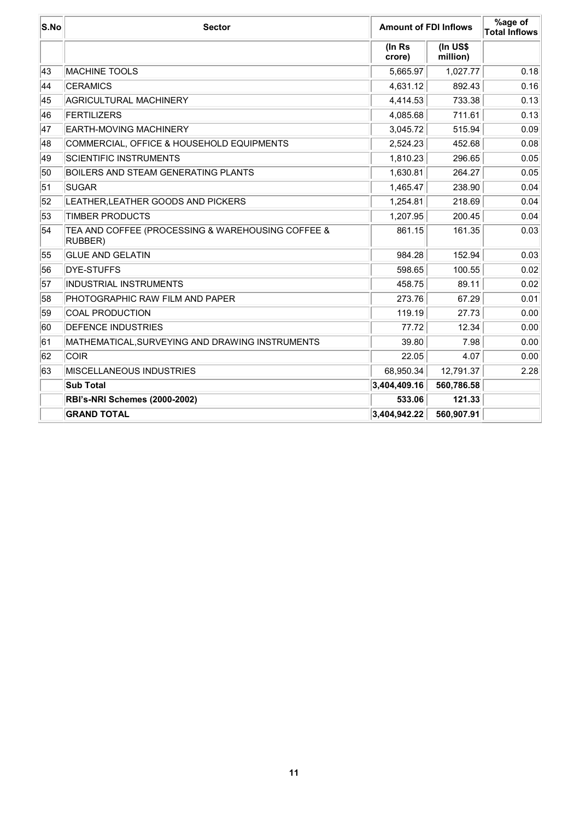| S.No | <b>Sector</b>                                                | <b>Amount of FDI Inflows</b> |                         | %age of<br><b>Total Inflows</b> |
|------|--------------------------------------------------------------|------------------------------|-------------------------|---------------------------------|
|      |                                                              | (In Rs<br>crore)             | $($ In US\$<br>million) |                                 |
| 43   | <b>MACHINE TOOLS</b>                                         | 5,665.97                     | 1,027.77                | 0.18                            |
| 44   | <b>CERAMICS</b>                                              | 4,631.12                     | 892.43                  | 0.16                            |
| 45   | <b>AGRICULTURAL MACHINERY</b>                                | 4,414.53                     | 733.38                  | 0.13                            |
| 46   | <b>FERTILIZERS</b>                                           | 4,085.68                     | 711.61                  | 0.13                            |
| 47   | EARTH-MOVING MACHINERY                                       | 3,045.72                     | 515.94                  | 0.09                            |
| 48   | COMMERCIAL, OFFICE & HOUSEHOLD EQUIPMENTS                    | 2,524.23                     | 452.68                  | 0.08                            |
| 49   | <b>SCIENTIFIC INSTRUMENTS</b>                                | 1,810.23                     | 296.65                  | 0.05                            |
| 50   | <b>BOILERS AND STEAM GENERATING PLANTS</b>                   | 1,630.81                     | 264.27                  | 0.05                            |
| 51   | <b>SUGAR</b>                                                 | 1,465.47                     | 238.90                  | 0.04                            |
| 52   | LEATHER, LEATHER GOODS AND PICKERS                           | 1,254.81                     | 218.69                  | 0.04                            |
| 53   | <b>TIMBER PRODUCTS</b>                                       | 1,207.95                     | 200.45                  | 0.04                            |
| 54   | TEA AND COFFEE (PROCESSING & WAREHOUSING COFFEE &<br>RUBBER) | 861.15                       | 161.35                  | 0.03                            |
| 55   | <b>GLUE AND GELATIN</b>                                      | 984.28                       | 152.94                  | 0.03                            |
| 56   | <b>DYE-STUFFS</b>                                            | 598.65                       | 100.55                  | 0.02                            |
| 57   | <b>INDUSTRIAL INSTRUMENTS</b>                                | 458.75                       | 89.11                   | 0.02                            |
| 58   | PHOTOGRAPHIC RAW FILM AND PAPER                              | 273.76                       | 67.29                   | 0.01                            |
| 59   | <b>COAL PRODUCTION</b>                                       | 119.19                       | 27.73                   | 0.00                            |
| 60   | <b>DEFENCE INDUSTRIES</b>                                    | 77.72                        | 12.34                   | 0.00                            |
| 61   | MATHEMATICAL, SURVEYING AND DRAWING INSTRUMENTS              | 39.80                        | 7.98                    | 0.00                            |
| 62   | <b>COIR</b>                                                  | 22.05                        | 4.07                    | 0.00                            |
| 63   | <b>IMISCELLANEOUS INDUSTRIES</b>                             | 68,950.34                    | 12,791.37               | 2.28                            |
|      | <b>Sub Total</b>                                             | 3,404,409.16                 | 560,786.58              |                                 |
|      | <b>RBI's-NRI Schemes (2000-2002)</b>                         | 533.06                       | 121.33                  |                                 |
|      | <b>GRAND TOTAL</b>                                           | 3,404,942.22                 | 560,907.91              |                                 |